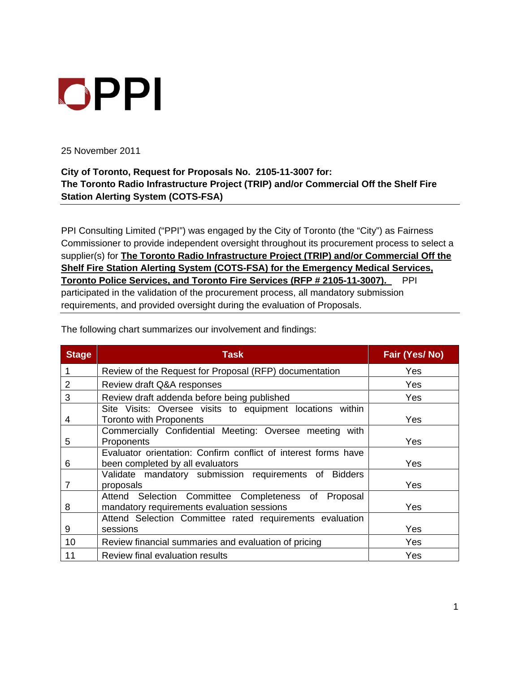## OPPI

25 November 2011

## **City of Toronto, Request for Proposals No. 2105-11-3007 for: The Toronto Radio Infrastructure Project (TRIP) and/or Commercial Off the Shelf Fire Station Alerting System (COTS-FSA)**

PPI Consulting Limited ("PPI") was engaged by the City of Toronto (the "City") as Fairness Commissioner to provide independent oversight throughout its procurement process to select a supplier(s) for **The Toronto Radio Infrastructure Project (TRIP) and/or Commercial Off the Shelf Fire Station Alerting System (COTS-FSA) for the Emergency Medical Services, Toronto Police Services, and Toronto Fire Services (RFP # 2105-11-3007).** PPI participated in the validation of the procurement process, all mandatory submission requirements, and provided oversight during the evaluation of Proposals.

| <b>Stage</b> | Task                                                                                               | Fair (Yes/No) |
|--------------|----------------------------------------------------------------------------------------------------|---------------|
|              | Review of the Request for Proposal (RFP) documentation                                             | Yes           |
|              | Review draft Q&A responses                                                                         | Yes           |
|              | Review draft addenda before being published                                                        | Yes           |
|              | Site Visits: Oversee visits to equipment locations within<br>Toronto with Proponents               | Yes           |
|              | Commercially Confidential Meeting: Oversee meeting with<br>Proponents                              | Yes           |
|              | Evaluator orientation: Confirm conflict of interest forms have<br>been completed by all evaluators | Yes           |
|              | Validate mandatory submission requirements of Bidders<br>proposals                                 | Yes           |
|              | Attend Selection Committee Completeness of Proposal<br>mandatory requirements evaluation sessions  | Yes           |
|              | Attend Selection Committee rated requirements evaluation<br>sessions                               | Yes           |
| 10           | Review financial summaries and evaluation of pricing                                               | Yes           |
|              | Review final evaluation results                                                                    | Yes           |

The following chart summarizes our involvement and findings: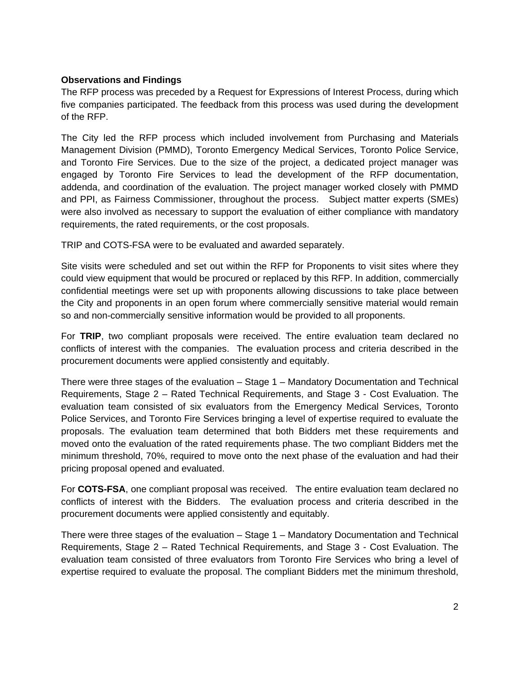## **Observations and Findings**

The RFP process was preceded by a Request for Expressions of Interest Process, during which five companies participated. The feedback from this process was used during the development of the RFP.

The City led the RFP process which included involvement from Purchasing and Materials Management Division (PMMD), Toronto Emergency Medical Services, Toronto Police Service, and Toronto Fire Services. Due to the size of the project, a dedicated project manager was engaged by Toronto Fire Services to lead the development of the RFP documentation, addenda, and coordination of the evaluation. The project manager worked closely with PMMD and PPI, as Fairness Commissioner, throughout the process. Subject matter experts (SMEs) were also involved as necessary to support the evaluation of either compliance with mandatory requirements, the rated requirements, or the cost proposals.

TRIP and COTS-FSA were to be evaluated and awarded separately.

Site visits were scheduled and set out within the RFP for Proponents to visit sites where they could view equipment that would be procured or replaced by this RFP. In addition, commercially confidential meetings were set up with proponents allowing discussions to take place between the City and proponents in an open forum where commercially sensitive material would remain so and non-commercially sensitive information would be provided to all proponents.

For **TRIP**, two compliant proposals were received. The entire evaluation team declared no conflicts of interest with the companies. The evaluation process and criteria described in the procurement documents were applied consistently and equitably.

There were three stages of the evaluation – Stage 1 – Mandatory Documentation and Technical Requirements, Stage 2 – Rated Technical Requirements, and Stage 3 - Cost Evaluation. The evaluation team consisted of six evaluators from the Emergency Medical Services, Toronto Police Services, and Toronto Fire Services bringing a level of expertise required to evaluate the proposals. The evaluation team determined that both Bidders met these requirements and moved onto the evaluation of the rated requirements phase. The two compliant Bidders met the minimum threshold, 70%, required to move onto the next phase of the evaluation and had their pricing proposal opened and evaluated.

For **COTS-FSA**, one compliant proposal was received. The entire evaluation team declared no conflicts of interest with the Bidders. The evaluation process and criteria described in the procurement documents were applied consistently and equitably.

There were three stages of the evaluation – Stage 1 – Mandatory Documentation and Technical Requirements, Stage 2 – Rated Technical Requirements, and Stage 3 - Cost Evaluation. The evaluation team consisted of three evaluators from Toronto Fire Services who bring a level of expertise required to evaluate the proposal. The compliant Bidders met the minimum threshold,